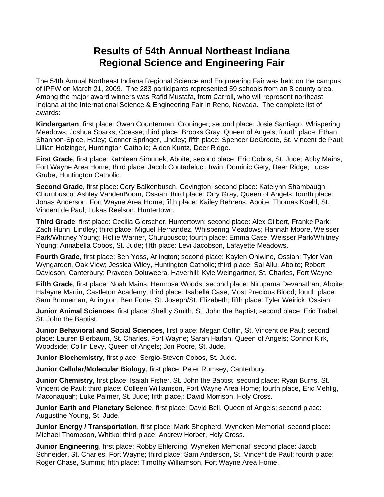## **Results of 54th Annual Northeast Indiana Regional Science and Engineering Fair**

The 54th Annual Northeast Indiana Regional Science and Engineering Fair was held on the campus of IPFW on March 21, 2009. The 283 participants represented 59 schools from an 8 county area. Among the major award winners was Rafid Mustafa, from Carroll, who will represent northeast Indiana at the International Science & Engineering Fair in Reno, Nevada. The complete list of awards:

**Kindergarten**, first place: Owen Counterman, Croninger; second place: Josie Santiago, Whispering Meadows; Joshua Sparks, Coesse; third place: Brooks Gray, Queen of Angels; fourth place: Ethan Shannon-Spice, Haley; Conner Springer, Lindley; fifth place: Spencer DeGroote, St. Vincent de Paul; Lillian Holzinger, Huntington Catholic; Aiden Kuntz, Deer Ridge.

**First Grade**, first place: Kathleen Simunek, Aboite; second place: Eric Cobos, St. Jude; Abby Mains, Fort Wayne Area Home; third place: Jacob Contadeluci, Irwin; Dominic Gery, Deer Ridge; Lucas Grube, Huntington Catholic.

**Second Grade**, first place: Cory Balkenbusch, Covington; second place: Katelynn Shambaugh, Churubusco; Ashley VandenBoom, Ossian; third place: Orry Gray, Queen of Angels; fourth place: Jonas Anderson, Fort Wayne Area Home; fifth place: Kailey Behrens, Aboite; Thomas Koehl, St. Vincent de Paul; Lukas Reelson, Huntertown.

**Third Grade**, first place: Cecilia Gierscher, Huntertown; second place: Alex Gilbert, Franke Park; Zach Huhn, Lindley; third place: Miguel Hernandez, Whispering Meadows; Hannah Moore, Weisser Park/Whitney Young; Hollie Warner, Churubusco; fourth place: Emma Case, Weisser Park/Whitney Young; Annabella Cobos, St. Jude; fifth place: Levi Jacobson, Lafayette Meadows.

**Fourth Grade**, first place: Ben Yoss, Arlington; second place: Kaylen Ohlwine, Ossian; Tyler Van Wyngarden, Oak View; Jessica Wiley, Huntington Catholic; third place: Sai Allu, Aboite; Robert Davidson, Canterbury; Praveen Doluweera, Haverhill; Kyle Weingartner, St. Charles, Fort Wayne.

**Fifth Grade**, first place: Noah Mains, Hermosa Woods; second place: Nirupama Devanathan, Aboite; Halayne Martin, Castleton Academy; third place: Isabella Case, Most Precious Blood; fourth place: Sam Brinneman, Arlington; Ben Forte, St. Joseph/St. Elizabeth; fifth place: Tyler Weirick, Ossian.

**Junior Animal Sciences**, first place: Shelby Smith, St. John the Baptist; second place: Eric Trabel, St. John the Baptist.

**Junior Behavioral and Social Sciences**, first place: Megan Coffin, St. Vincent de Paul; second place: Lauren Bierbaum, St. Charles, Fort Wayne; Sarah Harlan, Queen of Angels; Connor Kirk, Woodside; Collin Levy, Queen of Angels; Jon Poore, St. Jude.

**Junior Biochemistry**, first place: Sergio-Steven Cobos, St. Jude.

**Junior Cellular/Molecular Biology**, first place: Peter Rumsey, Canterbury.

**Junior Chemistry**, first place: Isaiah Fisher, St. John the Baptist; second place: Ryan Burns, St. Vincent de Paul; third place: Colleen Williamson, Fort Wayne Area Home; fourth place, Eric Mehlig, Maconaquah; Luke Palmer, St. Jude; fifth place,: David Morrison, Holy Cross.

**Junior Earth and Planetary Science**, first place: David Bell, Queen of Angels; second place: Augustine Young, St. Jude.

**Junior Energy / Transportation**, first place: Mark Shepherd, Wyneken Memorial; second place: Michael Thompson, Whitko; third place: Andrew Horber, Holy Cross.

**Junior Engineering**, first place: Robby Ehlerding, Wyneken Memorial; second place: Jacob Schneider, St. Charles, Fort Wayne; third place: Sam Anderson, St. Vincent de Paul; fourth place: Roger Chase, Summit; fifth place: Timothy Williamson, Fort Wayne Area Home.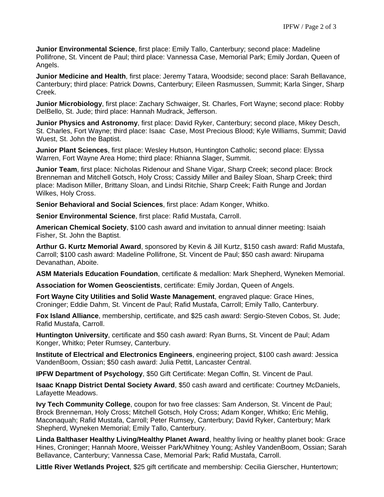**Junior Environmental Science**, first place: Emily Tallo, Canterbury; second place: Madeline Pollifrone, St. Vincent de Paul; third place: Vannessa Case, Memorial Park; Emily Jordan, Queen of Angels.

**Junior Medicine and Health**, first place: Jeremy Tatara, Woodside; second place: Sarah Bellavance, Canterbury; third place: Patrick Downs, Canterbury; Eileen Rasmussen, Summit; Karla Singer, Sharp Creek.

**Junior Microbiology**, first place: Zachary Schwaiger, St. Charles, Fort Wayne; second place: Robby DelBello, St. Jude; third place: Hannah Mudrack, Jefferson.

**Junior Physics and Astronomy**, first place: David Ryker, Canterbury; second place, Mikey Desch, St. Charles, Fort Wayne; third place: Isaac Case, Most Precious Blood; Kyle Williams, Summit; David Wuest, St. John the Baptist.

**Junior Plant Sciences**, first place: Wesley Hutson, Huntington Catholic; second place: Elyssa Warren, Fort Wayne Area Home; third place: Rhianna Slager, Summit.

**Junior Team**, first place: Nicholas Ridenour and Shane Vigar, Sharp Creek; second place: Brock Brenneman and Mitchell Gotsch, Holy Cross; Cassidy Miller and Bailey Sloan, Sharp Creek; third place: Madison Miller, Brittany Sloan, and Lindsi Ritchie, Sharp Creek; Faith Runge and Jordan Wilkes, Holy Cross.

**Senior Behavioral and Social Sciences**, first place: Adam Konger, Whitko.

**Senior Environmental Science**, first place: Rafid Mustafa, Carroll.

**American Chemical Society**, \$100 cash award and invitation to annual dinner meeting: Isaiah Fisher, St. John the Baptist.

**Arthur G. Kurtz Memorial Award**, sponsored by Kevin & Jill Kurtz, \$150 cash award: Rafid Mustafa, Carroll; \$100 cash award: Madeline Pollifrone, St. Vincent de Paul; \$50 cash award: Nirupama Devanathan, Aboite.

**ASM Materials Education Foundation**, certificate & medallion: Mark Shepherd, Wyneken Memorial.

**Association for Women Geoscientists**, certificate: Emily Jordan, Queen of Angels.

**Fort Wayne City Utilities and Solid Waste Management**, engraved plaque: Grace Hines, Croninger; Eddie Dahm, St. Vincent de Paul; Rafid Mustafa, Carroll; Emily Tallo, Canterbury.

**Fox Island Alliance**, membership, certificate, and \$25 cash award: Sergio-Steven Cobos, St. Jude; Rafid Mustafa, Carroll.

**Huntington University**, certificate and \$50 cash award: Ryan Burns, St. Vincent de Paul; Adam Konger, Whitko; Peter Rumsey, Canterbury.

**Institute of Electrical and Electronics Engineers**, engineering project, \$100 cash award: Jessica VandenBoom, Ossian; \$50 cash award: Julia Pettit, Lancaster Central.

**IPFW Department of Psychology**, \$50 Gift Certificate: Megan Coffin, St. Vincent de Paul.

**Isaac Knapp District Dental Society Award**, \$50 cash award and certificate: Courtney McDaniels, Lafayette Meadows.

**Ivy Tech Community College**, coupon for two free classes: Sam Anderson, St. Vincent de Paul; Brock Brenneman, Holy Cross; Mitchell Gotsch, Holy Cross; Adam Konger, Whitko; Eric Mehlig, Maconaquah; Rafid Mustafa, Carroll; Peter Rumsey, Canterbury; David Ryker, Canterbury; Mark Shepherd, Wyneken Memorial; Emily Tallo, Canterbury.

**Linda Balthaser Healthy Living/Healthy Planet Award**, healthy living or healthy planet book: Grace Hines, Croninger; Hannah Moore, Weisser Park/Whitney Young; Ashley VandenBoom, Ossian; Sarah Bellavance, Canterbury; Vannessa Case, Memorial Park; Rafid Mustafa, Carroll.

**Little River Wetlands Project**, \$25 gift certificate and membership: Cecilia Gierscher, Huntertown;